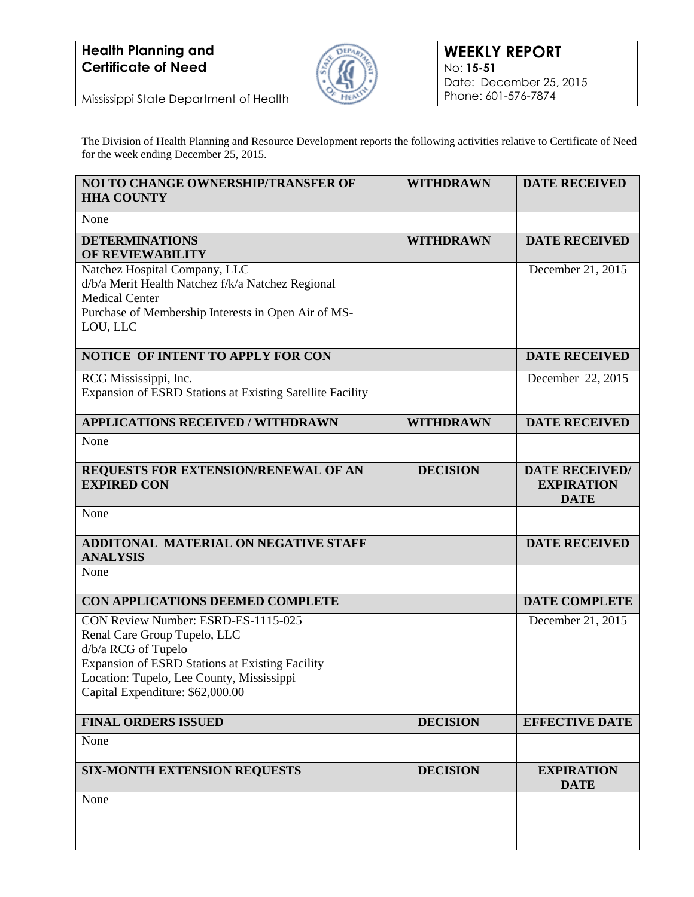

Mississippi State Department of Health

The Division of Health Planning and Resource Development reports the following activities relative to Certificate of Need for the week ending December 25, 2015.

| NOI TO CHANGE OWNERSHIP/TRANSFER OF<br><b>HHA COUNTY</b>                                                                                                                                                                       | <b>WITHDRAWN</b> | <b>DATE RECEIVED</b>                                      |
|--------------------------------------------------------------------------------------------------------------------------------------------------------------------------------------------------------------------------------|------------------|-----------------------------------------------------------|
| None                                                                                                                                                                                                                           |                  |                                                           |
| <b>DETERMINATIONS</b><br>OF REVIEWABILITY                                                                                                                                                                                      | <b>WITHDRAWN</b> | <b>DATE RECEIVED</b>                                      |
| Natchez Hospital Company, LLC<br>d/b/a Merit Health Natchez f/k/a Natchez Regional<br><b>Medical Center</b><br>Purchase of Membership Interests in Open Air of MS-<br>LOU, LLC                                                 |                  | December 21, 2015                                         |
| NOTICE OF INTENT TO APPLY FOR CON                                                                                                                                                                                              |                  | <b>DATE RECEIVED</b>                                      |
| RCG Mississippi, Inc.<br>Expansion of ESRD Stations at Existing Satellite Facility                                                                                                                                             |                  | December 22, 2015                                         |
| <b>APPLICATIONS RECEIVED / WITHDRAWN</b>                                                                                                                                                                                       | <b>WITHDRAWN</b> | <b>DATE RECEIVED</b>                                      |
| None                                                                                                                                                                                                                           |                  |                                                           |
| REQUESTS FOR EXTENSION/RENEWAL OF AN<br><b>EXPIRED CON</b>                                                                                                                                                                     | <b>DECISION</b>  | <b>DATE RECEIVED/</b><br><b>EXPIRATION</b><br><b>DATE</b> |
| None                                                                                                                                                                                                                           |                  |                                                           |
| ADDITONAL MATERIAL ON NEGATIVE STAFF<br><b>ANALYSIS</b>                                                                                                                                                                        |                  | <b>DATE RECEIVED</b>                                      |
| None                                                                                                                                                                                                                           |                  |                                                           |
| CON APPLICATIONS DEEMED COMPLETE                                                                                                                                                                                               |                  | <b>DATE COMPLETE</b>                                      |
| CON Review Number: ESRD-ES-1115-025<br>Renal Care Group Tupelo, LLC<br>d/b/a RCG of Tupelo<br>Expansion of ESRD Stations at Existing Facility<br>Location: Tupelo, Lee County, Mississippi<br>Capital Expenditure: \$62,000.00 |                  | December 21, 2015                                         |
| <b>FINAL ORDERS ISSUED</b>                                                                                                                                                                                                     | <b>DECISION</b>  | <b>EFFECTIVE DATE</b>                                     |
| None                                                                                                                                                                                                                           |                  |                                                           |
| <b>SIX-MONTH EXTENSION REQUESTS</b>                                                                                                                                                                                            | <b>DECISION</b>  | <b>EXPIRATION</b><br><b>DATE</b>                          |
| None                                                                                                                                                                                                                           |                  |                                                           |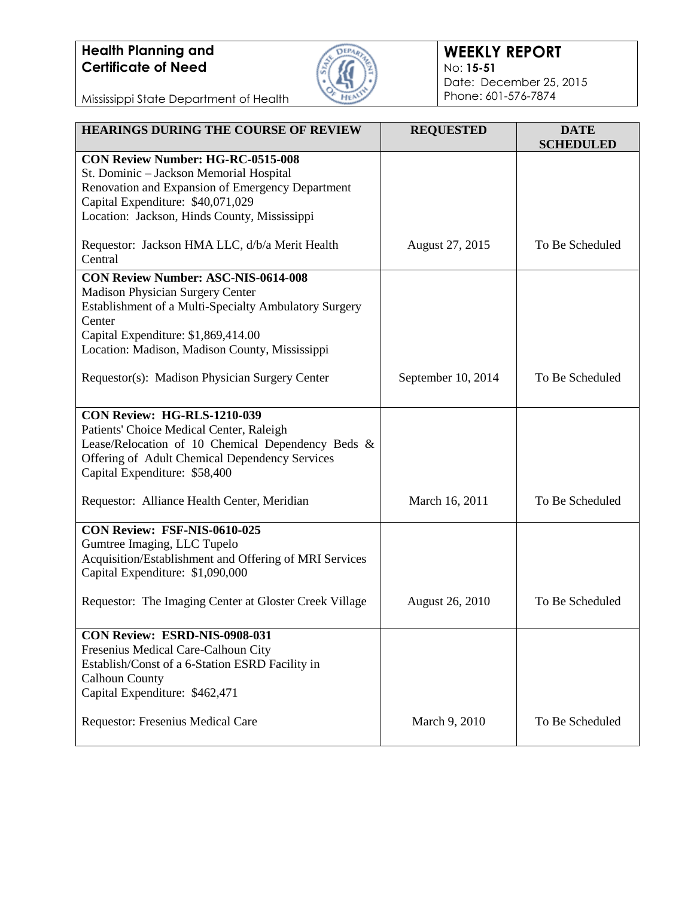

### **WEEKLY REPORT** No: **15-51** Date: December 25, 2015 Phone: 601-576-7874

Mississippi State Department of Health

| <b>HEARINGS DURING THE COURSE OF REVIEW</b>                                                                                           | <b>REQUESTED</b>       | <b>DATE</b><br><b>SCHEDULED</b> |
|---------------------------------------------------------------------------------------------------------------------------------------|------------------------|---------------------------------|
| <b>CON Review Number: HG-RC-0515-008</b><br>St. Dominic - Jackson Memorial Hospital                                                   |                        |                                 |
| Renovation and Expansion of Emergency Department<br>Capital Expenditure: \$40,071,029<br>Location: Jackson, Hinds County, Mississippi |                        |                                 |
| Requestor: Jackson HMA LLC, d/b/a Merit Health                                                                                        | August 27, 2015        | To Be Scheduled                 |
| Central                                                                                                                               |                        |                                 |
| <b>CON Review Number: ASC-NIS-0614-008</b>                                                                                            |                        |                                 |
| <b>Madison Physician Surgery Center</b><br>Establishment of a Multi-Specialty Ambulatory Surgery                                      |                        |                                 |
| Center                                                                                                                                |                        |                                 |
| Capital Expenditure: \$1,869,414.00                                                                                                   |                        |                                 |
| Location: Madison, Madison County, Mississippi                                                                                        |                        |                                 |
| Requestor(s): Madison Physician Surgery Center                                                                                        | September 10, 2014     | To Be Scheduled                 |
|                                                                                                                                       |                        |                                 |
| <b>CON Review: HG-RLS-1210-039</b><br>Patients' Choice Medical Center, Raleigh                                                        |                        |                                 |
| Lease/Relocation of 10 Chemical Dependency Beds &                                                                                     |                        |                                 |
| Offering of Adult Chemical Dependency Services                                                                                        |                        |                                 |
| Capital Expenditure: \$58,400                                                                                                         |                        |                                 |
| Requestor: Alliance Health Center, Meridian                                                                                           | March 16, 2011         | To Be Scheduled                 |
| CON Review: FSF-NIS-0610-025                                                                                                          |                        |                                 |
| Gumtree Imaging, LLC Tupelo                                                                                                           |                        |                                 |
| Acquisition/Establishment and Offering of MRI Services<br>Capital Expenditure: \$1,090,000                                            |                        |                                 |
|                                                                                                                                       |                        |                                 |
| Requestor: The Imaging Center at Gloster Creek Village                                                                                | <b>August 26, 2010</b> | To Be Scheduled                 |
| CON Review: ESRD-NIS-0908-031                                                                                                         |                        |                                 |
| Fresenius Medical Care-Calhoun City                                                                                                   |                        |                                 |
| Establish/Const of a 6-Station ESRD Facility in<br><b>Calhoun County</b>                                                              |                        |                                 |
| Capital Expenditure: \$462,471                                                                                                        |                        |                                 |
|                                                                                                                                       |                        |                                 |
| Requestor: Fresenius Medical Care                                                                                                     | March 9, 2010          | To Be Scheduled                 |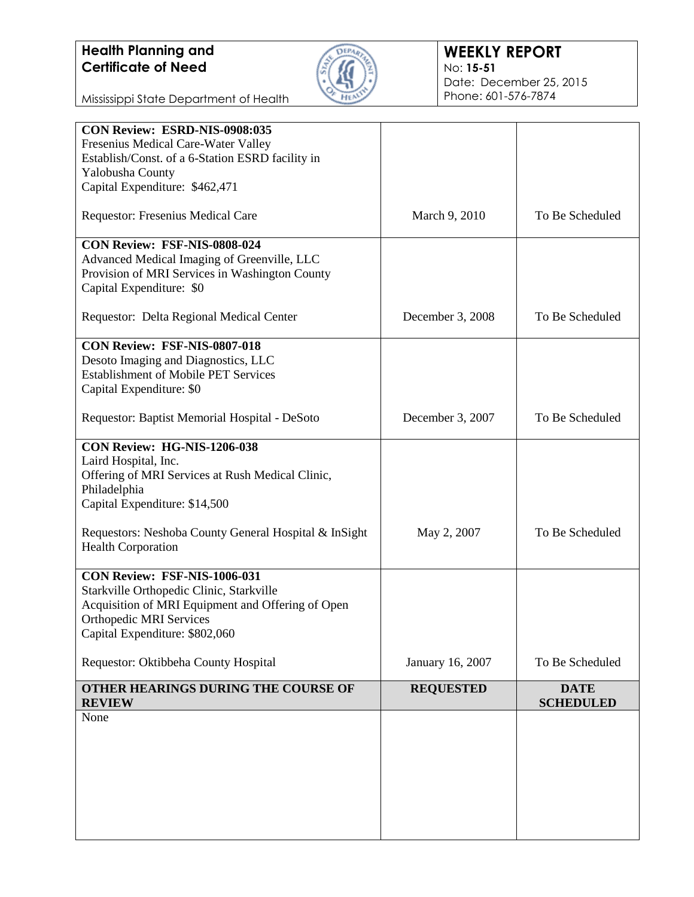

### **WEEKLY REPORT** No: **15-51** Date: December 25, 2015 Phone: 601-576-7874

Mississippi State Department of Health

| CON Review: ESRD-NIS-0908:035                         |                  |                  |
|-------------------------------------------------------|------------------|------------------|
| Fresenius Medical Care-Water Valley                   |                  |                  |
| Establish/Const. of a 6-Station ESRD facility in      |                  |                  |
| Yalobusha County                                      |                  |                  |
| Capital Expenditure: \$462,471                        |                  |                  |
| Requestor: Fresenius Medical Care                     | March 9, 2010    | To Be Scheduled  |
| CON Review: FSF-NIS-0808-024                          |                  |                  |
| Advanced Medical Imaging of Greenville, LLC           |                  |                  |
| Provision of MRI Services in Washington County        |                  |                  |
| Capital Expenditure: \$0                              |                  |                  |
| Requestor: Delta Regional Medical Center              | December 3, 2008 | To Be Scheduled  |
| <b>CON Review: FSF-NIS-0807-018</b>                   |                  |                  |
| Desoto Imaging and Diagnostics, LLC                   |                  |                  |
| <b>Establishment of Mobile PET Services</b>           |                  |                  |
| Capital Expenditure: \$0                              |                  |                  |
| Requestor: Baptist Memorial Hospital - DeSoto         | December 3, 2007 | To Be Scheduled  |
|                                                       |                  |                  |
| CON Review: HG-NIS-1206-038                           |                  |                  |
| Laird Hospital, Inc.                                  |                  |                  |
| Offering of MRI Services at Rush Medical Clinic,      |                  |                  |
| Philadelphia                                          |                  |                  |
| Capital Expenditure: \$14,500                         |                  |                  |
| Requestors: Neshoba County General Hospital & InSight |                  | To Be Scheduled  |
| <b>Health Corporation</b>                             | May 2, 2007      |                  |
| CON Review: FSF-NIS-1006-031                          |                  |                  |
| Starkville Orthopedic Clinic, Starkville              |                  |                  |
| Acquisition of MRI Equipment and Offering of Open     |                  |                  |
| <b>Orthopedic MRI Services</b>                        |                  |                  |
| Capital Expenditure: \$802,060                        |                  |                  |
| Requestor: Oktibbeha County Hospital                  | January 16, 2007 | To Be Scheduled  |
| OTHER HEARINGS DURING THE COURSE OF                   | <b>REQUESTED</b> | <b>DATE</b>      |
| <b>REVIEW</b>                                         |                  | <b>SCHEDULED</b> |
| None                                                  |                  |                  |
|                                                       |                  |                  |
|                                                       |                  |                  |
|                                                       |                  |                  |
|                                                       |                  |                  |
|                                                       |                  |                  |
|                                                       |                  |                  |
|                                                       |                  |                  |